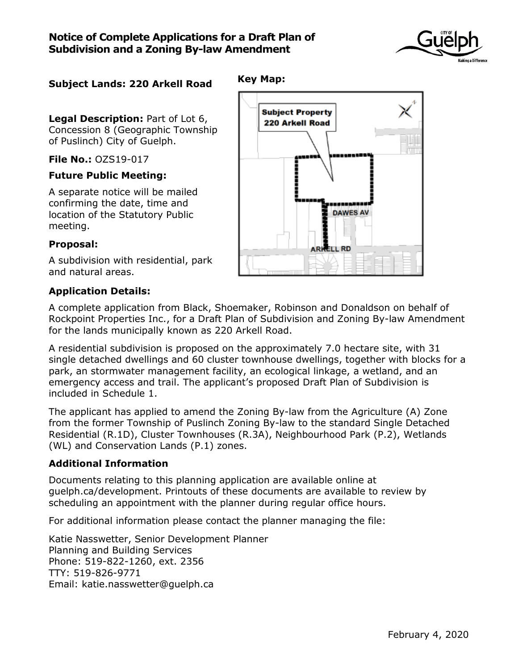

# **Subject Lands: 220 Arkell Road**

**Legal Description:** Part of Lot 6, Concession 8 (Geographic Township of Puslinch) City of Guelph.

**File No.:** OZS19-017

#### **Future Public Meeting:**

A separate notice will be mailed confirming the date, time and location of the Statutory Public meeting.

### **Proposal:**

A subdivision with residential, park and natural areas.

#### **Application Details:**

A complete application from Black, Shoemaker, Robinson and Donaldson on behalf of Rockpoint Properties Inc., for a Draft Plan of Subdivision and Zoning By-law Amendment for the lands municipally known as 220 Arkell Road.

**Key Map:**

A residential subdivision is proposed on the approximately 7.0 hectare site, with 31 single detached dwellings and 60 cluster townhouse dwellings, together with blocks for a park, an stormwater management facility, an ecological linkage, a wetland, and an emergency access and trail. The applicant's proposed Draft Plan of Subdivision is included in Schedule 1.

The applicant has applied to amend the Zoning By-law from the Agriculture (A) Zone from the former Township of Puslinch Zoning By-law to the standard Single Detached Residential (R.1D), Cluster Townhouses (R.3A), Neighbourhood Park (P.2), Wetlands (WL) and Conservation Lands (P.1) zones.

### **Additional Information**

Documents relating to this planning application are available online at guelph.ca/development. Printouts of these documents are available to review by scheduling an appointment with the planner during regular office hours.

For additional information please contact the planner managing the file:

Katie Nasswetter, Senior Development Planner Planning and Building Services Phone: 519-822-1260, ext. 2356 TTY: 519-826-9771 Email: katie.nasswetter@guelph.ca

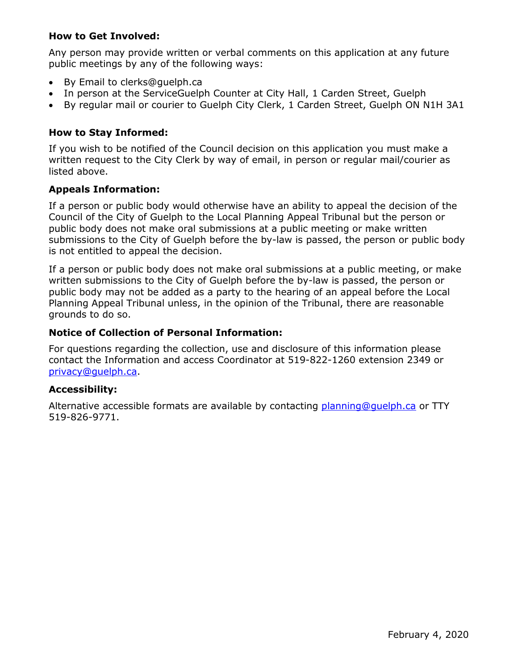### **How to Get Involved:**

Any person may provide written or verbal comments on this application at any future public meetings by any of the following ways:

- By Email to clerks@guelph.ca
- In person at the ServiceGuelph Counter at City Hall, 1 Carden Street, Guelph
- By regular mail or courier to Guelph City Clerk, 1 Carden Street, Guelph ON N1H 3A1

# **How to Stay Informed:**

If you wish to be notified of the Council decision on this application you must make a written request to the City Clerk by way of email, in person or regular mail/courier as listed above.

## **Appeals Information:**

If a person or public body would otherwise have an ability to appeal the decision of the Council of the City of Guelph to the Local Planning Appeal Tribunal but the person or public body does not make oral submissions at a public meeting or make written submissions to the City of Guelph before the by-law is passed, the person or public body is not entitled to appeal the decision.

If a person or public body does not make oral submissions at a public meeting, or make written submissions to the City of Guelph before the by-law is passed, the person or public body may not be added as a party to the hearing of an appeal before the Local Planning Appeal Tribunal unless, in the opinion of the Tribunal, there are reasonable grounds to do so.

# **Notice of Collection of Personal Information:**

For questions regarding the collection, use and disclosure of this information please contact the Information and access Coordinator at 519-822-1260 extension 2349 or [privacy@guelph.ca.](mailto:privacy@guelph.ca)

### **Accessibility:**

Alternative accessible formats are available by contacting [planning@guelph.ca](mailto:planning@guelph.ca) or TTY 519-826-9771.